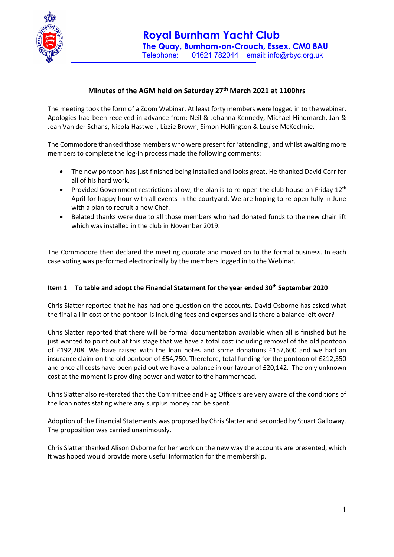

## Minutes of the AGM held on Saturday 27<sup>th</sup> March 2021 at 1100hrs

The meeting took the form of a Zoom Webinar. At least forty members were logged in to the webinar. Apologies had been received in advance from: Neil & Johanna Kennedy, Michael Hindmarch, Jan & Jean Van der Schans, Nicola Hastwell, Lizzie Brown, Simon Hollington & Louise McKechnie.

The Commodore thanked those members who were present for 'attending', and whilst awaiting more members to complete the log-in process made the following comments:

- The new pontoon has just finished being installed and looks great. He thanked David Corr for all of his hard work.
- Provided Government restrictions allow, the plan is to re-open the club house on Friday  $12<sup>th</sup>$ April for happy hour with all events in the courtyard. We are hoping to re-open fully in June with a plan to recruit a new Chef.
- Belated thanks were due to all those members who had donated funds to the new chair lift which was installed in the club in November 2019.

The Commodore then declared the meeting quorate and moved on to the formal business. In each case voting was performed electronically by the members logged in to the Webinar.

## Item 1 To table and adopt the Financial Statement for the year ended  $30<sup>th</sup>$  September 2020

Chris Slatter reported that he has had one question on the accounts. David Osborne has asked what the final all in cost of the pontoon is including fees and expenses and is there a balance left over?

Chris Slatter reported that there will be formal documentation available when all is finished but he just wanted to point out at this stage that we have a total cost including removal of the old pontoon of £192,208. We have raised with the loan notes and some donations £157,600 and we had an insurance claim on the old pontoon of £54,750. Therefore, total funding for the pontoon of £212,350 and once all costs have been paid out we have a balance in our favour of £20,142. The only unknown cost at the moment is providing power and water to the hammerhead.

Chris Slatter also re-iterated that the Committee and Flag Officers are very aware of the conditions of the loan notes stating where any surplus money can be spent.

Adoption of the Financial Statements was proposed by Chris Slatter and seconded by Stuart Galloway. The proposition was carried unanimously.

Chris Slatter thanked Alison Osborne for her work on the new way the accounts are presented, which it was hoped would provide more useful information for the membership.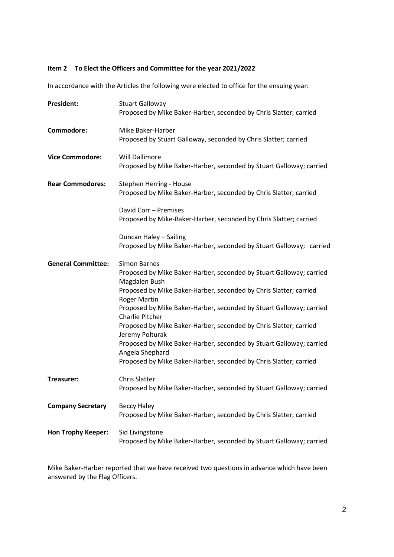## Item 2 To Elect the Officers and Committee for the year 2021/2022

In accordance with the Articles the following were elected to office for the ensuing year:

| <b>President:</b>         | <b>Stuart Galloway</b><br>Proposed by Mike Baker-Harber, seconded by Chris Slatter; carried                                                                                                                                                                                                                                                                                                                                                                                                                                                                     |
|---------------------------|-----------------------------------------------------------------------------------------------------------------------------------------------------------------------------------------------------------------------------------------------------------------------------------------------------------------------------------------------------------------------------------------------------------------------------------------------------------------------------------------------------------------------------------------------------------------|
| Commodore:                | Mike Baker-Harber<br>Proposed by Stuart Galloway, seconded by Chris Slatter; carried                                                                                                                                                                                                                                                                                                                                                                                                                                                                            |
| <b>Vice Commodore:</b>    | <b>Will Dallimore</b><br>Proposed by Mike Baker-Harber, seconded by Stuart Galloway; carried                                                                                                                                                                                                                                                                                                                                                                                                                                                                    |
| <b>Rear Commodores:</b>   | Stephen Herring - House<br>Proposed by Mike Baker-Harber, seconded by Chris Slatter; carried                                                                                                                                                                                                                                                                                                                                                                                                                                                                    |
|                           | David Corr - Premises<br>Proposed by Mike-Baker-Harber, seconded by Chris Slatter; carried                                                                                                                                                                                                                                                                                                                                                                                                                                                                      |
|                           | Duncan Haley - Sailing<br>Proposed by Mike Baker-Harber, seconded by Stuart Galloway; carried                                                                                                                                                                                                                                                                                                                                                                                                                                                                   |
| <b>General Committee:</b> | <b>Simon Barnes</b><br>Proposed by Mike Baker-Harber, seconded by Stuart Galloway; carried<br>Magdalen Bush<br>Proposed by Mike Baker-Harber, seconded by Chris Slatter; carried<br><b>Roger Martin</b><br>Proposed by Mike Baker-Harber, seconded by Stuart Galloway; carried<br><b>Charlie Pitcher</b><br>Proposed by Mike Baker-Harber, seconded by Chris Slatter; carried<br>Jeremy Polturak<br>Proposed by Mike Baker-Harber, seconded by Stuart Galloway; carried<br>Angela Shephard<br>Proposed by Mike Baker-Harber, seconded by Chris Slatter; carried |
| Treasurer:                | <b>Chris Slatter</b><br>Proposed by Mike Baker-Harber, seconded by Stuart Galloway; carried                                                                                                                                                                                                                                                                                                                                                                                                                                                                     |
| <b>Company Secretary</b>  | <b>Beccy Haley</b><br>Proposed by Mike Baker-Harber, seconded by Chris Slatter; carried                                                                                                                                                                                                                                                                                                                                                                                                                                                                         |
| <b>Hon Trophy Keeper:</b> | Sid Livingstone<br>Proposed by Mike Baker-Harber, seconded by Stuart Galloway; carried                                                                                                                                                                                                                                                                                                                                                                                                                                                                          |

Mike Baker-Harber reported that we have received two questions in advance which have been answered by the Flag Officers.